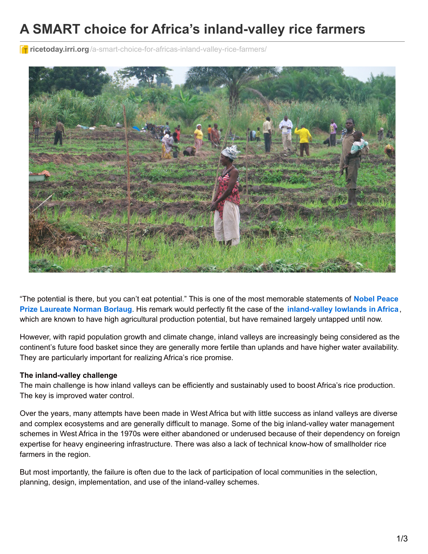# **A SMART choice for Africa's inland-valley rice farmers**

**T** ricetoday.irri.org[/a-smart-choice-for-africas-inland-valley-rice-farmers/](http://ricetoday.irri.org/a-smart-choice-for-africas-inland-valley-rice-farmers/)



"The potential is there, but you can't eat potential." This is one of the most memorable statements of **Nobel Peace Prize Laureate Norman Borlaug**. His remark would perfectly fit the case of the **[inland-valley](http://www.nobelprize.org/nobel_prizes/peace/laureates/1970/borlaug-bio.html) lowlands in Africa**, which are known to have high agricultural production potential, but have remained largely untapped until now.

However, with rapid population growth and climate change, inland valleys are increasingly being considered as the continent's future food basket since they are generally more fertile than uplands and have higher water availability. They are particularly important for realizing Africa's rice promise.

#### **The inland-valley challenge**

The main challenge is how inland valleys can be efficiently and sustainably used to boost Africa's rice production. The key is improved water control.

Over the years, many attempts have been made in West Africa but with little success as inland valleys are diverse and complex ecosystems and are generally difficult to manage. Some of the big inland-valley water management schemes in West Africa in the 1970s were either abandoned or underused because of their dependency on foreign expertise for heavy engineering infrastructure. There was also a lack of technical know-how of smallholder rice farmers in the region.

But most importantly, the failure is often due to the lack of participation of local communities in the selection, planning, design, implementation, and use of the inland-valley schemes.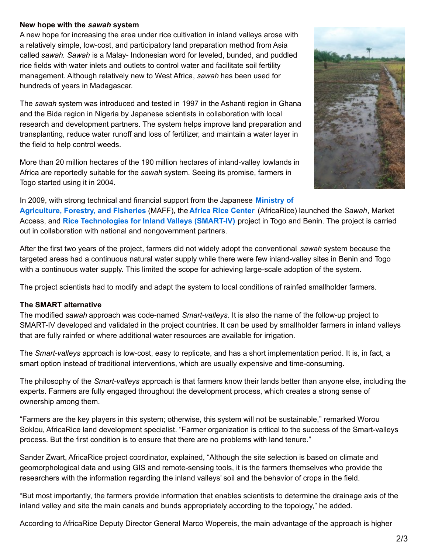#### **New hope with the** *sawah* **system**

A new hope for increasing the area under rice cultivation in inland valleys arose with a relatively simple, low-cost, and participatory land preparation method from Asia called *sawah*. *Sawah* is a Malay- Indonesian word for leveled, bunded, and puddled rice fields with water inlets and outlets to control water and facilitate soil fertility management. Although relatively new to West Africa, *sawah* has been used for hundreds of years in Madagascar.

The *sawah* system was introduced and tested in 1997 in the Ashanti region in Ghana and the Bida region in Nigeria by Japanese scientists in collaboration with local research and development partners. The system helps improve land preparation and transplanting, reduce water runoff and loss of fertilizer, and maintain a water layer in the field to help control weeds.

More than 20 million hectares of the 190 million hectares of inland-valley lowlands in Africa are reportedly suitable for the *sawah* system. Seeing its promise, farmers in Togo started using it in 2004.



In 2009, with strong technical and financial support from the Japanese **Ministry of**

**[Agriculture,](http://www.maff.go.jp/e/) Forestry, and Fisheries** (MAFF), the **Africa Rice [Center](http://africarice.org/)** (AfricaRice) launched the *Sawah*, Market Access, and **Rice [Technologies](https://smartiv.wordpress.com/about/) for Inland Valleys (SMART-IV)** project in Togo and Benin. The project is carried out in collaboration with national and nongovernment partners.

After the first two years of the project, farmers did not widely adopt the conventional *sawah* system because the targeted areas had a continuous natural water supply while there were few inland-valley sites in Benin and Togo with a continuous water supply. This limited the scope for achieving large-scale adoption of the system.

The project scientists had to modify and adapt the system to local conditions of rainfed smallholder farmers.

## **The SMART alternative**

The modified *sawah* approach was code-named *Smart-valleys*. It is also the name of the follow-up project to SMART-IV developed and validated in the project countries. It can be used by smallholder farmers in inland valleys that are fully rainfed or where additional water resources are available for irrigation.

The *Smart-valleys* approach is low‐cost, easy to replicate, and has a short implementation period. It is, in fact, a smart option instead of traditional interventions, which are usually expensive and time-consuming.

The philosophy of the *Smart-valleys* approach is that farmers know their lands better than anyone else, including the experts. Farmers are fully engaged throughout the development process, which creates a strong sense of ownership among them.

"Farmers are the key players in this system; otherwise, this system will not be sustainable," remarked Worou Soklou, AfricaRice land development specialist. "Farmer organization is critical to the success of the Smart-valleys process. But the first condition is to ensure that there are no problems with land tenure."

Sander Zwart, AfricaRice project coordinator, explained, "Although the site selection is based on climate and geomorphological data and using GIS and remote-sensing tools, it is the farmers themselves who provide the researchers with the information regarding the inland valleys' soil and the behavior of crops in the field.

"But most importantly, the farmers provide information that enables scientists to determine the drainage axis of the inland valley and site the main canals and bunds appropriately according to the topology," he added.

According to AfricaRice Deputy Director General Marco Wopereis, the main advantage of the approach is higher